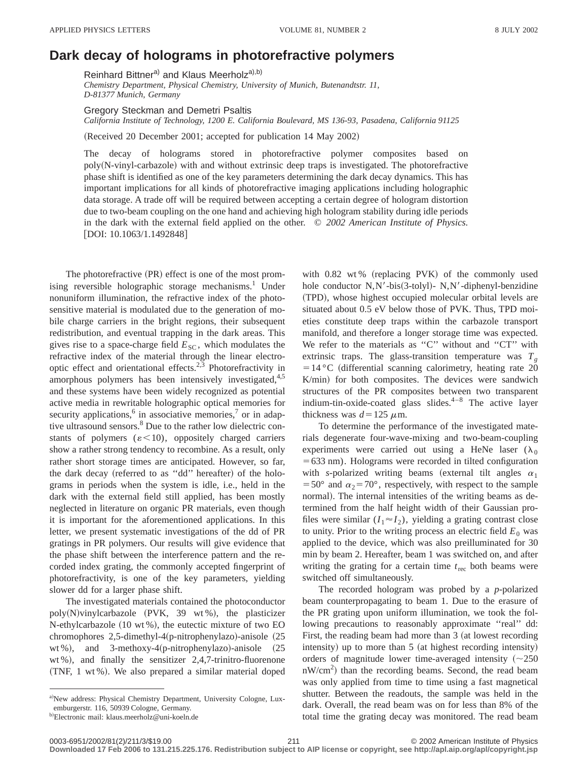## **Dark decay of holograms in photorefractive polymers**

Reinhard Bittner<sup>a)</sup> and Klaus Meerholz<sup>a),b)</sup>

*Chemistry Department, Physical Chemistry, University of Munich, Butenandtstr. 11, D-81377 Munich, Germany*

Gregory Steckman and Demetri Psaltis

*California Institute of Technology, 1200 E. California Boulevard, MS 136-93, Pasadena, California 91125*

(Received 20 December 2001; accepted for publication 14 May 2002)

The decay of holograms stored in photorefractive polymer composites based on poly(N-vinyl-carbazole) with and without extrinsic deep traps is investigated. The photorefractive phase shift is identified as one of the key parameters determining the dark decay dynamics. This has important implications for all kinds of photorefractive imaging applications including holographic data storage. A trade off will be required between accepting a certain degree of hologram distortion due to two-beam coupling on the one hand and achieving high hologram stability during idle periods in the dark with the external field applied on the other. © *2002 American Institute of Physics.*  $[$ DOI: 10.1063/1.1492848 $]$ 

The photorefractive  $(PR)$  effect is one of the most promising reversible holographic storage mechanisms.<sup>1</sup> Under nonuniform illumination, the refractive index of the photosensitive material is modulated due to the generation of mobile charge carriers in the bright regions, their subsequent redistribution, and eventual trapping in the dark areas. This gives rise to a space-charge field  $E_{SC}$ , which modulates the refractive index of the material through the linear electrooptic effect and orientational effects.<sup>2,3</sup> Photorefractivity in amorphous polymers has been intensively investigated,<sup>4,5</sup> and these systems have been widely recognized as potential active media in rewritable holographic optical memories for security applications,<sup>6</sup> in associative memories,<sup>7</sup> or in adaptive ultrasound sensors.<sup>8</sup> Due to the rather low dielectric constants of polymers  $(\varepsilon < 10)$ , oppositely charged carriers show a rather strong tendency to recombine. As a result, only rather short storage times are anticipated. However, so far, the dark decay (referred to as "dd" hereafter) of the holograms in periods when the system is idle, i.e., held in the dark with the external field still applied, has been mostly neglected in literature on organic PR materials, even though it is important for the aforementioned applications. In this letter, we present systematic investigations of the dd of PR gratings in PR polymers. Our results will give evidence that the phase shift between the interference pattern and the recorded index grating, the commonly accepted fingerprint of photorefractivity, is one of the key parameters, yielding slower dd for a larger phase shift.

The investigated materials contained the photoconductor poly(N)vinylcarbazole (PVK, 39 wt%), the plasticizer N-ethylcarbazole  $(10 \text{ wt } %),$  the eutectic mixture of two EO chromophores  $2,5$ -dimethyl-4(p-nitrophenylazo)-anisole  $(25)$ wt %), and 3-methoxy-4(p-nitrophenylazo)-anisole  $(25$ wt %), and finally the sensitizer  $2,4,7$ -trinitro-fluorenone  $(TNF, 1 wt %)$ . We also prepared a similar material doped with  $0.82$  wt% (replacing PVK) of the commonly used hole conductor N,N'-bis(3-tolyl)- N,N'-diphenyl-benzidine (TPD), whose highest occupied molecular orbital levels are situated about 0.5 eV below those of PVK. Thus, TPD moieties constitute deep traps within the carbazole transport manifold, and therefore a longer storage time was expected. We refer to the materials as "C" without and "CT" with extrinsic traps. The glass-transition temperature was  $T<sub>g</sub>$  $=14 °C$  (differential scanning calorimetry, heating rate 20 K/min) for both composites. The devices were sandwich structures of the PR composites between two transparent indium-tin-oxide-coated glass slides.4–8 The active layer thickness was  $d=125 \mu$ m.

To determine the performance of the investigated materials degenerate four-wave-mixing and two-beam-coupling experiments were carried out using a HeNe laser  $(\lambda_0)$  $=633$  nm). Holograms were recorded in tilted configuration with *s*-polarized writing beams (external tilt angles  $\alpha_1$ =50° and  $\alpha_2$ =70°, respectively, with respect to the sample normal). The internal intensities of the writing beams as determined from the half height width of their Gaussian profiles were similar  $(I_1 \approx I_2)$ , yielding a grating contrast close to unity. Prior to the writing process an electric field  $E_0$  was applied to the device, which was also preilluminated for 30 min by beam 2. Hereafter, beam 1 was switched on, and after writing the grating for a certain time  $t_{\text{rec}}$  both beams were switched off simultaneously.

The recorded hologram was probed by a *p*-polarized beam counterpropagating to beam 1. Due to the erasure of the PR grating upon uniform illumination, we took the following precautions to reasonably approximate "real" dd: First, the reading beam had more than  $3$  (at lowest recording intensity) up to more than  $5$  (at highest recording intensity) orders of magnitude lower time-averaged intensity  $(\sim 250$  $nW/cm<sup>2</sup>$ ) than the recording beams. Second, the read beam was only applied from time to time using a fast magnetical shutter. Between the readouts, the sample was held in the dark. Overall, the read beam was on for less than 8% of the total time the grating decay was monitored. The read beam

a)New address: Physical Chemistry Department, University Cologne, Luxemburgerstr. 116, 50939 Cologne, Germany.

<sup>&</sup>lt;sup>b)</sup>Electronic mail: klaus.meerholz@uni-koeln.de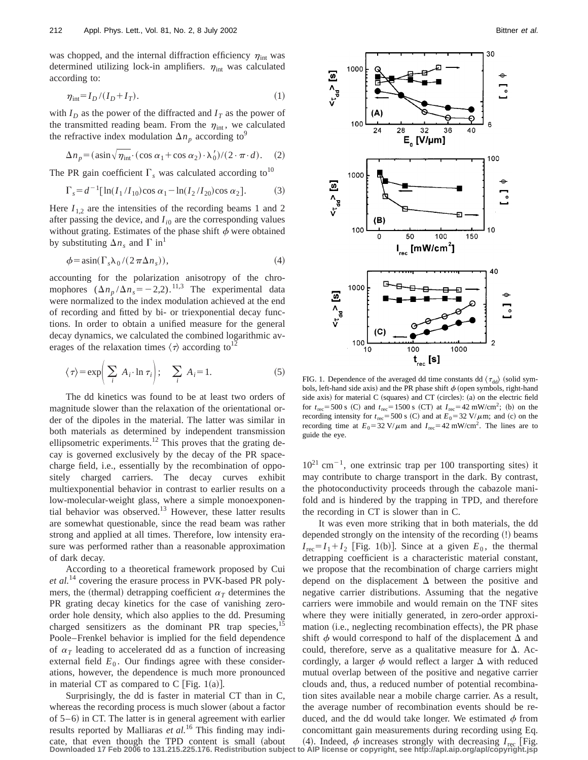was chopped, and the internal diffraction efficiency  $\eta_{\rm int}$  was determined utilizing lock-in amplifiers.  $\eta_{\rm int}$  was calculated according to:

$$
\eta_{\rm int} = I_D / (I_D + I_T). \tag{1}
$$

with  $I_D$  as the power of the diffracted and  $I_T$  as the power of the transmitted reading beam. From the  $\eta_{\text{int}}$ , we calculated the refractive index modulation  $\Delta n_p$  according to<sup>9</sup>

$$
\Delta n_p = (\sin \sqrt{\eta_{\text{int}}} \cdot (\cos \alpha_1 + \cos \alpha_2) \cdot \lambda'_0) / (2 \cdot \pi \cdot d). \quad (2)
$$

The PR gain coefficient  $\Gamma_s$  was calculated according to<sup>10</sup>

$$
\Gamma_s = d^{-1} [\ln(I_1/I_{10}) \cos \alpha_1 - \ln(I_2/I_{20}) \cos \alpha_2]. \tag{3}
$$

Here  $I_{1,2}$  are the intensities of the recording beams 1 and 2 after passing the device, and  $I_{i0}$  are the corresponding values without grating. Estimates of the phase shift  $\phi$  were obtained by substituting  $\Delta n_s$  and  $\Gamma$  in<sup>1</sup>

$$
\phi = \operatorname{asin}(\Gamma_s \lambda_0 / (2 \pi \Delta n_s)), \tag{4}
$$

accounting for the polarization anisotropy of the chromophores  $(\Delta n_p / \Delta n_s = -2,2)$ .<sup>11,3</sup> The experimental data were normalized to the index modulation achieved at the end of recording and fitted by bi- or triexponential decay functions. In order to obtain a unified measure for the general decay dynamics, we calculated the combined logarithmic averages of the relaxation times  $\langle \tau \rangle$  according to<sup>12</sup>

$$
\langle \tau \rangle = \exp\left(\sum_{i} A_{i} \cdot \ln \tau_{i}\right); \quad \sum_{i} A_{i} = 1.
$$
 (5)

The dd kinetics was found to be at least two orders of magnitude slower than the relaxation of the orientational order of the dipoles in the material. The latter was similar in both materials as determined by independent transmission ellipsometric experiments.<sup>12</sup> This proves that the grating decay is governed exclusively by the decay of the PR spacecharge field, i.e., essentially by the recombination of oppositely charged carriers. The decay curves exhibit multiexponential behavior in contrast to earlier results on a low-molecular-weight glass, where a simple monoexponential behavior was observed.13 However, these latter results are somewhat questionable, since the read beam was rather strong and applied at all times. Therefore, low intensity erasure was performed rather than a reasonable approximation of dark decay.

According to a theoretical framework proposed by Cui *et al.*<sup>14</sup> covering the erasure process in PVK-based PR polymers, the (thermal) detrapping coefficient  $\alpha_T$  determines the PR grating decay kinetics for the case of vanishing zeroorder hole density, which also applies to the dd. Presuming charged sensitizers as the dominant PR trap species,  $15$ Poole–Frenkel behavior is implied for the field dependence of  $\alpha_T$  leading to accelerated dd as a function of increasing external field  $E_0$ . Our findings agree with these considerations, however, the dependence is much more pronounced in material CT as compared to C [Fig.  $1(a)$ ].

Surprisingly, the dd is faster in material CT than in C, whereas the recording process is much slower (about a factor of  $5-6$ ) in CT. The latter is in general agreement with earlier results reported by Malliaras *et al.*<sup>16</sup> This finding may indi-



FIG. 1. Dependence of the averaged dd time constants dd  $\langle \tau_{dd} \rangle$  (solid symbols, left-hand side axis) and the PR phase shift  $\phi$  (open symbols, right-hand side axis) for material  $C$  (squares) and  $CT$  (circles): (a) on the electric field for  $t_{\text{rec}}$ =500 s (C) and  $t_{\text{rec}}$ =1500 s (CT) at  $I_{\text{rec}}$ =42 mW/cm<sup>2</sup>; (b) on the recording intensity for  $t_{\text{rec}}$ =500 s (C) and at  $E_0$ =32 V/ $\mu$ m; and (c) on the recording time at  $E_0 = 32 \text{ V}/\mu \text{m}$  and  $I_{\text{rec}} = 42 \text{ mW/cm}^2$ . The lines are to guide the eye.

 $10^{21}$  cm<sup>-1</sup>, one extrinsic trap per 100 transporting sites) it may contribute to charge transport in the dark. By contrast, the photoconductivity proceeds through the cabazole manifold and is hindered by the trapping in TPD, and therefore the recording in CT is slower than in C.

It was even more striking that in both materials, the dd depended strongly on the intensity of the recording (!) beams  $I_{\text{rec}}=I_1+I_2$  [Fig. 1(b)]. Since at a given  $E_0$ , the thermal detrapping coefficient is a characteristic material constant, we propose that the recombination of charge carriers might depend on the displacement  $\Delta$  between the positive and negative carrier distributions. Assuming that the negative carriers were immobile and would remain on the TNF sites where they were initially generated, in zero-order approximation (i.e., neglecting recombination effects), the PR phase shift  $\phi$  would correspond to half of the displacement  $\Delta$  and could, therefore, serve as a qualitative measure for  $\Delta$ . Accordingly, a larger  $\phi$  would reflect a larger  $\Delta$  with reduced mutual overlap between of the positive and negative carrier clouds and, thus, a reduced number of potential recombination sites available near a mobile charge carrier. As a result, the average number of recombination events should be reduced, and the dd would take longer. We estimated  $\phi$  from concomittant gain measurements during recording using Eq.

cate, that even though the TPD content is small (about (4). Indeed,  $\phi$  increases strongly with decreasing  $I_{\text{rec}}$  [Fig.<br>Downloaded 17 Feb 2006 to 131.215.225.176. Redistribution subject to AlP license or copyright, se